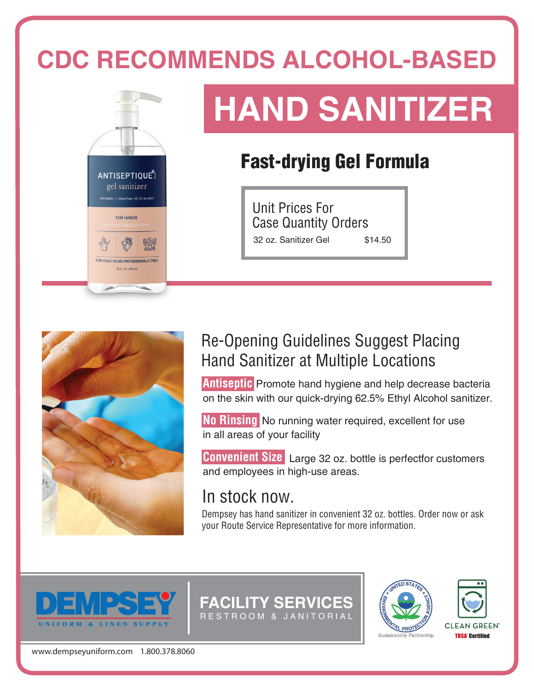### **CDC RECOMMENDS ALCOHOL-BASED**



# **HAND SANITIZER**

### Fast-drying Gel Formula

Unit Prices For Case Quantity Orders 32 oz. Sanitizer Gel \$14.50



#### Re-Opening Guidelines Suggest Placing Hand Sanitizer at Multiple Locations

**Antiseptic** Promote hand hygiene and help decrease bacteria on the skin with our quick-drying 62.5% Ethyl Alcohol sanitizer.

in all areas of your facility **No Rinsing** No running water required, excellent for use

and employees in high-use areas. **Convenient Size** Large 32 oz. bottle is perfectfor customers

#### In stock now.

Dempsey has hand sanitizer in convenient 32 oz. bottles. Order now or ask your Route Service Representative for more information.



**FACILITY SERVICES** R EST ROOM & JANITORIAL



**TRSA Certified** 

www.dempseyuniform.com 1.800.378.8060